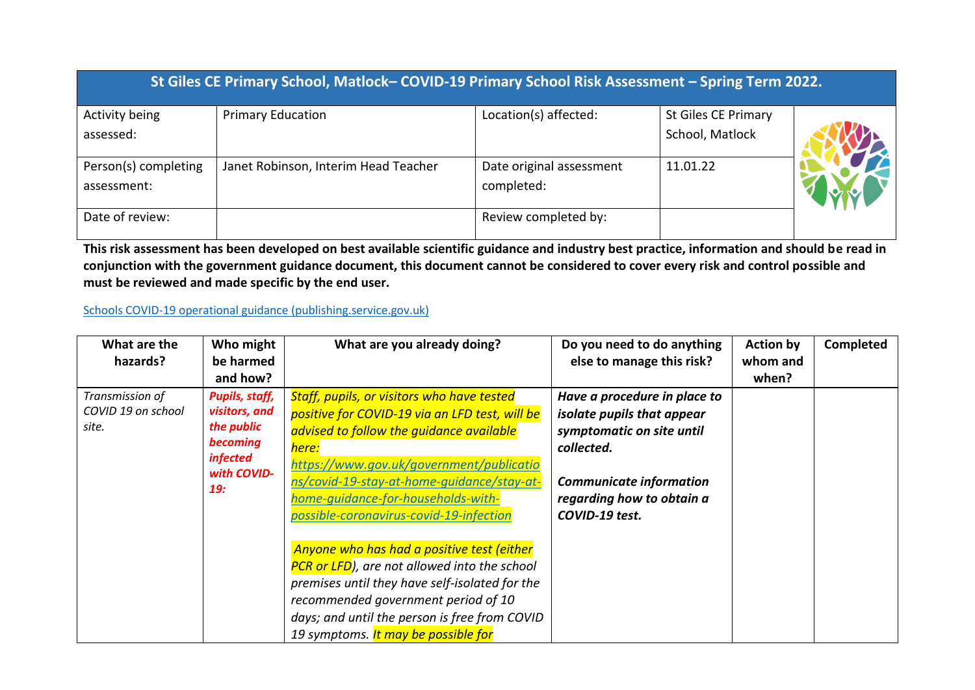| St Giles CE Primary School, Matlock-COVID-19 Primary School Risk Assessment - Spring Term 2022. |                                      |                                        |                                               |  |  |  |
|-------------------------------------------------------------------------------------------------|--------------------------------------|----------------------------------------|-----------------------------------------------|--|--|--|
| Activity being<br>assessed:                                                                     | <b>Primary Education</b>             | Location(s) affected:                  | <b>St Giles CE Primary</b><br>School, Matlock |  |  |  |
| Person(s) completing<br>assessment:                                                             | Janet Robinson, Interim Head Teacher | Date original assessment<br>completed: | 11.01.22                                      |  |  |  |
| Date of review:                                                                                 |                                      | Review completed by:                   |                                               |  |  |  |

**This risk assessment has been developed on best available scientific guidance and industry best practice, information and should be read in conjunction with the government guidance document, this document cannot be considered to cover every risk and control possible and must be reviewed and made specific by the end user.** 

## [Schools COVID-19 operational guidance \(publishing.service.gov.uk\)](https://assets.publishing.service.gov.uk/government/uploads/system/uploads/attachment_data/file/999689/Schools_guidance_Step_4_update_FINAL.pdf)

| What are the<br>hazards?                       | Who might<br>be harmed<br>and how?                                                                               | What are you already doing?                                                                                                                                                                                                                                                                                                                                                                                                                                                                                                                                                                                                | Do you need to do anything<br>else to manage this risk?                                                                                                                                | <b>Action by</b><br>whom and<br>when? | Completed |
|------------------------------------------------|------------------------------------------------------------------------------------------------------------------|----------------------------------------------------------------------------------------------------------------------------------------------------------------------------------------------------------------------------------------------------------------------------------------------------------------------------------------------------------------------------------------------------------------------------------------------------------------------------------------------------------------------------------------------------------------------------------------------------------------------------|----------------------------------------------------------------------------------------------------------------------------------------------------------------------------------------|---------------------------------------|-----------|
| Transmission of<br>COVID 19 on school<br>site. | <b>Pupils, staff,</b><br>visitors, and<br>the public<br>becoming<br><i>infected</i><br>with COVID-<br><b>19:</b> | <b>Staff, pupils, or visitors who have tested</b><br>positive for COVID-19 via an LFD test, will be<br>advised to follow the quidance available<br>here:<br>https://www.gov.uk/government/publicatio<br>ns/covid-19-stay-at-home-quidance/stay-at-<br>home-quidance-for-households-with-<br>possible-coronavirus-covid-19-infection<br>Anyone who has had a positive test (either<br><b>PCR or LFD</b> ), are not allowed into the school<br>premises until they have self-isolated for the<br>recommended government period of 10<br>days; and until the person is free from COVID<br>19 symptoms. It may be possible for | Have a procedure in place to<br>isolate pupils that appear<br>symptomatic on site until<br>collected.<br><b>Communicate information</b><br>regarding how to obtain a<br>COVID-19 test. |                                       |           |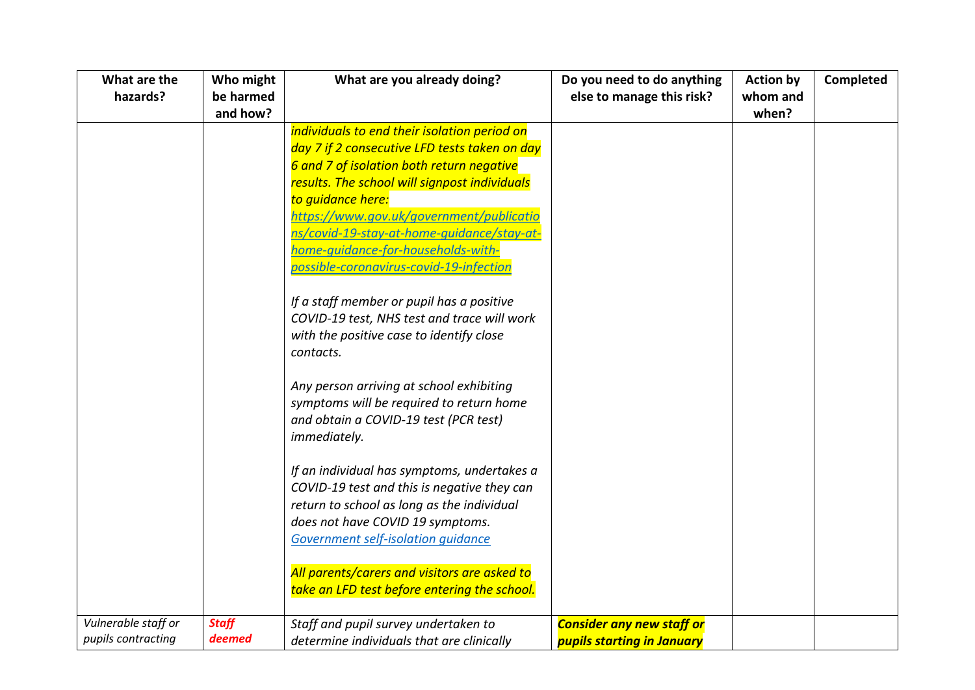| What are the        | Who might    | What are you already doing?                   | Do you need to do anything        | <b>Action by</b> | <b>Completed</b> |
|---------------------|--------------|-----------------------------------------------|-----------------------------------|------------------|------------------|
| hazards?            | be harmed    |                                               | else to manage this risk?         | whom and         |                  |
|                     | and how?     |                                               |                                   | when?            |                  |
|                     |              | individuals to end their isolation period on  |                                   |                  |                  |
|                     |              | day 7 if 2 consecutive LFD tests taken on day |                                   |                  |                  |
|                     |              | 6 and 7 of isolation both return negative     |                                   |                  |                  |
|                     |              | results. The school will signpost individuals |                                   |                  |                  |
|                     |              | to quidance here:                             |                                   |                  |                  |
|                     |              | https://www.gov.uk/government/publicatio      |                                   |                  |                  |
|                     |              | ns/covid-19-stay-at-home-quidance/stay-at-    |                                   |                  |                  |
|                     |              | home-quidance-for-households-with-            |                                   |                  |                  |
|                     |              | possible-coronavirus-covid-19-infection       |                                   |                  |                  |
|                     |              |                                               |                                   |                  |                  |
|                     |              | If a staff member or pupil has a positive     |                                   |                  |                  |
|                     |              | COVID-19 test, NHS test and trace will work   |                                   |                  |                  |
|                     |              | with the positive case to identify close      |                                   |                  |                  |
|                     |              | contacts.                                     |                                   |                  |                  |
|                     |              | Any person arriving at school exhibiting      |                                   |                  |                  |
|                     |              | symptoms will be required to return home      |                                   |                  |                  |
|                     |              | and obtain a COVID-19 test (PCR test)         |                                   |                  |                  |
|                     |              | immediately.                                  |                                   |                  |                  |
|                     |              |                                               |                                   |                  |                  |
|                     |              | If an individual has symptoms, undertakes a   |                                   |                  |                  |
|                     |              | COVID-19 test and this is negative they can   |                                   |                  |                  |
|                     |              | return to school as long as the individual    |                                   |                  |                  |
|                     |              | does not have COVID 19 symptoms.              |                                   |                  |                  |
|                     |              | Government self-isolation quidance            |                                   |                  |                  |
|                     |              |                                               |                                   |                  |                  |
|                     |              | All parents/carers and visitors are asked to  |                                   |                  |                  |
|                     |              | take an LFD test before entering the school.  |                                   |                  |                  |
| Vulnerable staff or | <b>Staff</b> | Staff and pupil survey undertaken to          | <b>Consider any new staff or</b>  |                  |                  |
| pupils contracting  | deemed       | determine individuals that are clinically     | <b>pupils starting in January</b> |                  |                  |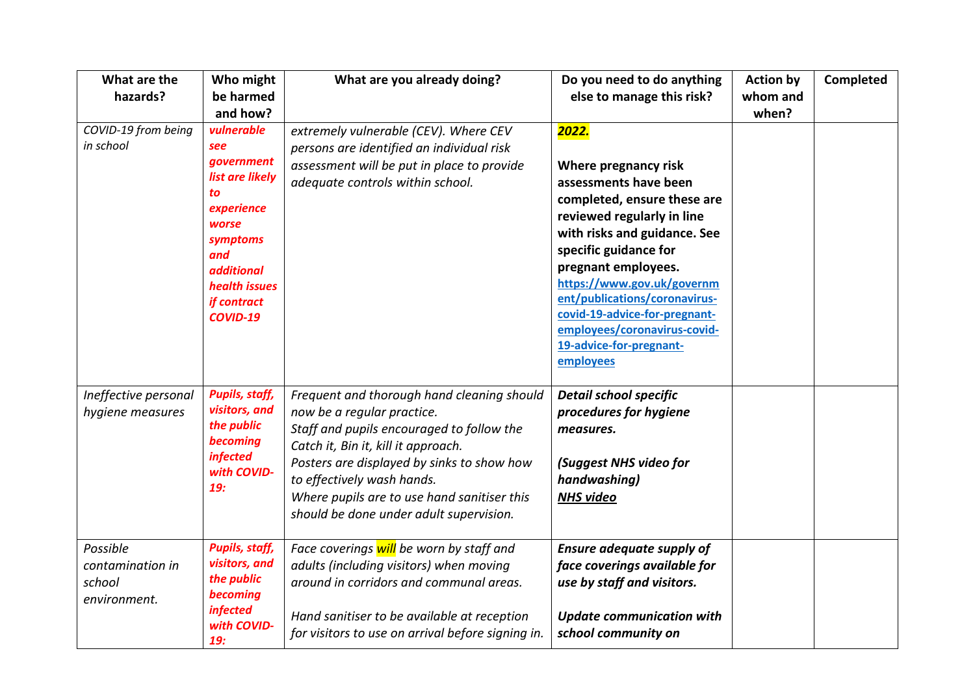| What are the<br>hazards?                               | Who might<br>be harmed<br>and how?                                                                                                                                  | What are you already doing?                                                                                                                                                                                                                                                                                                        | Do you need to do anything<br>else to manage this risk?                                                                                                                                                                                                                                                                                                                     | <b>Action by</b><br>whom and<br>when? | Completed |
|--------------------------------------------------------|---------------------------------------------------------------------------------------------------------------------------------------------------------------------|------------------------------------------------------------------------------------------------------------------------------------------------------------------------------------------------------------------------------------------------------------------------------------------------------------------------------------|-----------------------------------------------------------------------------------------------------------------------------------------------------------------------------------------------------------------------------------------------------------------------------------------------------------------------------------------------------------------------------|---------------------------------------|-----------|
| COVID-19 from being<br>in school                       | vulnerable<br>see<br>government<br>list are likely<br>to<br>experience<br>worse<br>symptoms<br>and<br><i>additional</i><br>health issues<br>if contract<br>COVID-19 | extremely vulnerable (CEV). Where CEV<br>persons are identified an individual risk<br>assessment will be put in place to provide<br>adequate controls within school.                                                                                                                                                               | 2022.<br>Where pregnancy risk<br>assessments have been<br>completed, ensure these are<br>reviewed regularly in line<br>with risks and guidance. See<br>specific guidance for<br>pregnant employees.<br>https://www.gov.uk/governm<br>ent/publications/coronavirus-<br>covid-19-advice-for-pregnant-<br>employees/coronavirus-covid-<br>19-advice-for-pregnant-<br>employees |                                       |           |
| Ineffective personal<br>hygiene measures               | <b>Pupils, staff,</b><br>visitors, and<br>the public<br>becoming<br><i>infected</i><br>with COVID-<br>19:                                                           | Frequent and thorough hand cleaning should<br>now be a regular practice.<br>Staff and pupils encouraged to follow the<br>Catch it, Bin it, kill it approach.<br>Posters are displayed by sinks to show how<br>to effectively wash hands.<br>Where pupils are to use hand sanitiser this<br>should be done under adult supervision. | <b>Detail school specific</b><br>procedures for hygiene<br>measures.<br>(Suggest NHS video for<br>handwashing)<br><b>NHS video</b>                                                                                                                                                                                                                                          |                                       |           |
| Possible<br>contamination in<br>school<br>environment. | <b>Pupils, staff,</b><br>visitors, and<br>the public<br>becoming<br><i>infected</i><br>with COVID-<br>19:                                                           | Face coverings will be worn by staff and<br>adults (including visitors) when moving<br>around in corridors and communal areas.<br>Hand sanitiser to be available at reception<br>for visitors to use on arrival before signing in.                                                                                                 | <b>Ensure adequate supply of</b><br>face coverings available for<br>use by staff and visitors.<br><b>Update communication with</b><br>school community on                                                                                                                                                                                                                   |                                       |           |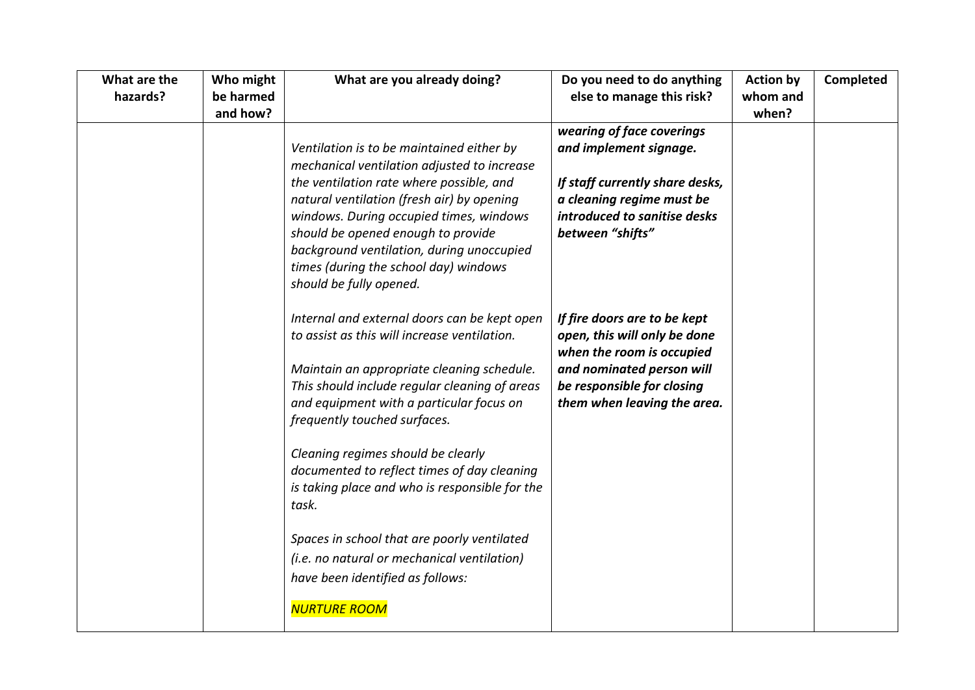| What are the<br>hazards? | Who might<br>be harmed<br>and how? | What are you already doing?                                                                                                                                                                                          | Do you need to do anything<br>else to manage this risk?                                                          | <b>Action by</b><br>whom and<br>when? | Completed |
|--------------------------|------------------------------------|----------------------------------------------------------------------------------------------------------------------------------------------------------------------------------------------------------------------|------------------------------------------------------------------------------------------------------------------|---------------------------------------|-----------|
|                          |                                    | Ventilation is to be maintained either by<br>mechanical ventilation adjusted to increase                                                                                                                             | wearing of face coverings<br>and implement signage.                                                              |                                       |           |
|                          |                                    | the ventilation rate where possible, and<br>natural ventilation (fresh air) by opening<br>windows. During occupied times, windows<br>should be opened enough to provide<br>background ventilation, during unoccupied | If staff currently share desks,<br>a cleaning regime must be<br>introduced to sanitise desks<br>between "shifts" |                                       |           |
|                          |                                    | times (during the school day) windows<br>should be fully opened.<br>Internal and external doors can be kept open                                                                                                     | If fire doors are to be kept                                                                                     |                                       |           |
|                          |                                    | to assist as this will increase ventilation.<br>Maintain an appropriate cleaning schedule.                                                                                                                           | open, this will only be done<br>when the room is occupied<br>and nominated person will                           |                                       |           |
|                          |                                    | This should include regular cleaning of areas<br>and equipment with a particular focus on<br>frequently touched surfaces.                                                                                            | be responsible for closing<br>them when leaving the area.                                                        |                                       |           |
|                          |                                    | Cleaning regimes should be clearly<br>documented to reflect times of day cleaning<br>is taking place and who is responsible for the<br>task.                                                                         |                                                                                                                  |                                       |           |
|                          |                                    | Spaces in school that are poorly ventilated<br>(i.e. no natural or mechanical ventilation)<br>have been identified as follows:                                                                                       |                                                                                                                  |                                       |           |
|                          |                                    | <b>NURTURE ROOM</b>                                                                                                                                                                                                  |                                                                                                                  |                                       |           |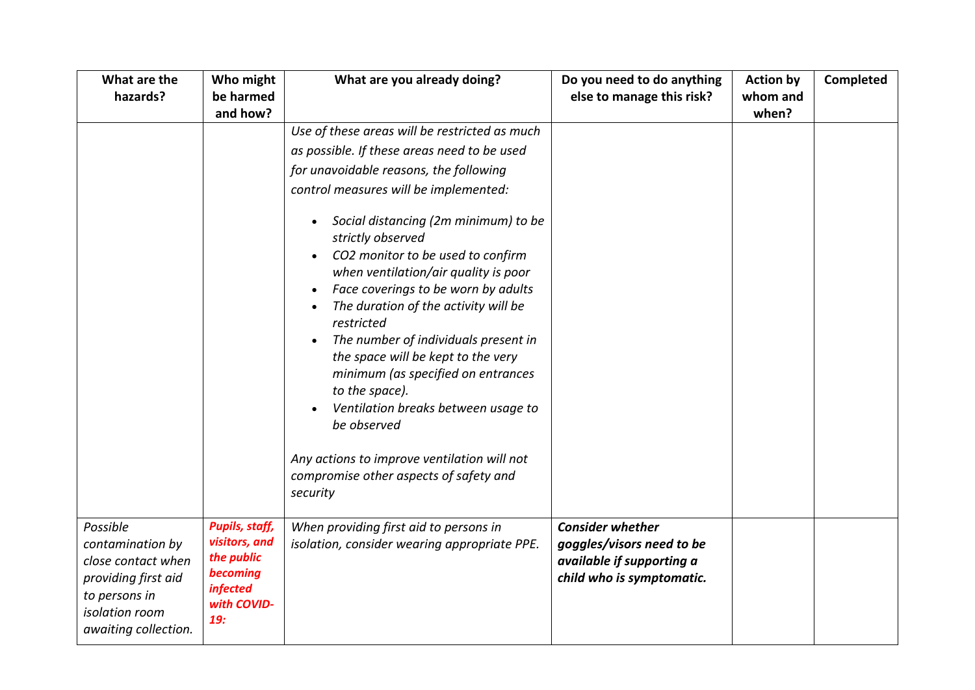| What are the<br>hazards?                                                                                                             | Who might<br>be harmed<br>and how?                                                                                                                                                                                                                                                                                                                                                                                                                                                                                                                                                                                                                                                                                                   | What are you already doing?                                                            | Do you need to do anything<br>else to manage this risk?                                                        | <b>Action by</b><br>whom and<br>when? | Completed |
|--------------------------------------------------------------------------------------------------------------------------------------|--------------------------------------------------------------------------------------------------------------------------------------------------------------------------------------------------------------------------------------------------------------------------------------------------------------------------------------------------------------------------------------------------------------------------------------------------------------------------------------------------------------------------------------------------------------------------------------------------------------------------------------------------------------------------------------------------------------------------------------|----------------------------------------------------------------------------------------|----------------------------------------------------------------------------------------------------------------|---------------------------------------|-----------|
|                                                                                                                                      | Use of these areas will be restricted as much<br>as possible. If these areas need to be used<br>for unavoidable reasons, the following<br>control measures will be implemented:<br>Social distancing (2m minimum) to be<br>strictly observed<br>CO2 monitor to be used to confirm<br>$\bullet$<br>when ventilation/air quality is poor<br>Face coverings to be worn by adults<br>The duration of the activity will be<br>restricted<br>The number of individuals present in<br>the space will be kept to the very<br>minimum (as specified on entrances<br>to the space).<br>Ventilation breaks between usage to<br>be observed<br>Any actions to improve ventilation will not<br>compromise other aspects of safety and<br>security |                                                                                        |                                                                                                                |                                       |           |
| Possible<br>contamination by<br>close contact when<br>providing first aid<br>to persons in<br>isolation room<br>awaiting collection. | <b>Pupils, staff,</b><br>visitors, and<br>the public<br>becoming<br><i>infected</i><br>with COVID-<br>19:                                                                                                                                                                                                                                                                                                                                                                                                                                                                                                                                                                                                                            | When providing first aid to persons in<br>isolation, consider wearing appropriate PPE. | <b>Consider whether</b><br>goggles/visors need to be<br>available if supporting a<br>child who is symptomatic. |                                       |           |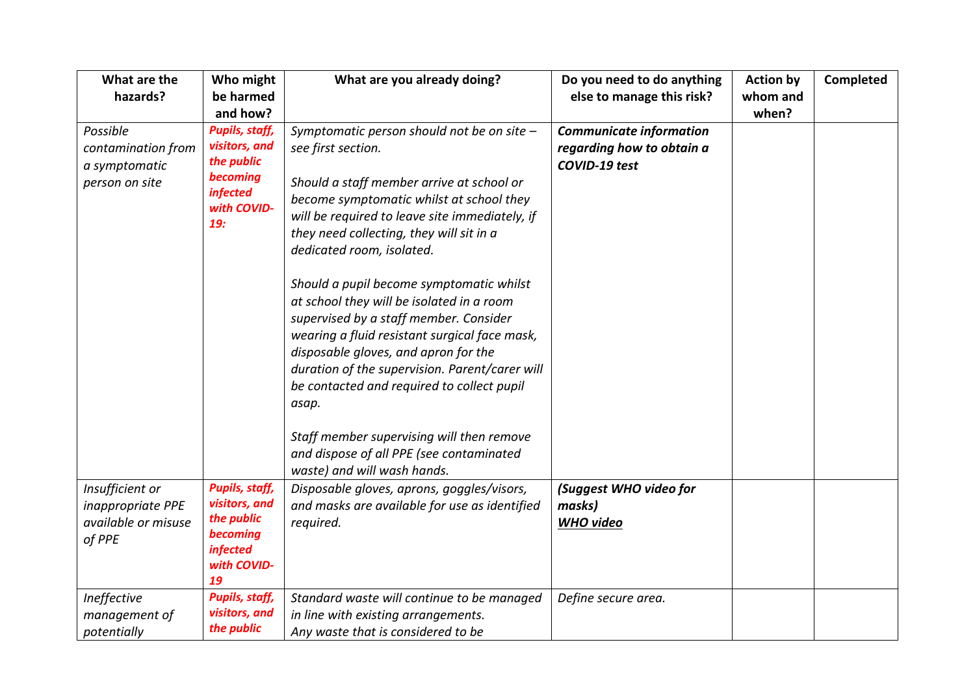| What are the<br>hazards?                                              | Who might<br>be harmed<br>and how?                                                                        | What are you already doing?                                                                                                                                                                                                                                                                                                                                                                                                                                                                                                                                                                                                                                                                                                                       | Do you need to do anything<br>else to manage this risk?                      | <b>Action by</b><br>whom and<br>when? | <b>Completed</b> |
|-----------------------------------------------------------------------|-----------------------------------------------------------------------------------------------------------|---------------------------------------------------------------------------------------------------------------------------------------------------------------------------------------------------------------------------------------------------------------------------------------------------------------------------------------------------------------------------------------------------------------------------------------------------------------------------------------------------------------------------------------------------------------------------------------------------------------------------------------------------------------------------------------------------------------------------------------------------|------------------------------------------------------------------------------|---------------------------------------|------------------|
| Possible<br>contamination from<br>a symptomatic<br>person on site     | <b>Pupils, staff,</b><br>visitors, and<br>the public<br>becoming<br><i>infected</i><br>with COVID-<br>19: | Symptomatic person should not be on site -<br>see first section.<br>Should a staff member arrive at school or<br>become symptomatic whilst at school they<br>will be required to leave site immediately, if<br>they need collecting, they will sit in a<br>dedicated room, isolated.<br>Should a pupil become symptomatic whilst<br>at school they will be isolated in a room<br>supervised by a staff member. Consider<br>wearing a fluid resistant surgical face mask,<br>disposable gloves, and apron for the<br>duration of the supervision. Parent/carer will<br>be contacted and required to collect pupil<br>asap.<br>Staff member supervising will then remove<br>and dispose of all PPE (see contaminated<br>waste) and will wash hands. | <b>Communicate information</b><br>regarding how to obtain a<br>COVID-19 test |                                       |                  |
| Insufficient or<br>inappropriate PPE<br>available or misuse<br>of PPE | <b>Pupils, staff,</b><br>visitors, and<br>the public<br>becoming<br><i>infected</i><br>with COVID-<br>19  | Disposable gloves, aprons, goggles/visors,<br>and masks are available for use as identified<br>required.                                                                                                                                                                                                                                                                                                                                                                                                                                                                                                                                                                                                                                          | (Suggest WHO video for<br>masks)<br><b>WHO</b> video                         |                                       |                  |
| Ineffective<br>management of<br>potentially                           | <b>Pupils, staff,</b><br>visitors, and<br>the public                                                      | Standard waste will continue to be managed<br>in line with existing arrangements.<br>Any waste that is considered to be                                                                                                                                                                                                                                                                                                                                                                                                                                                                                                                                                                                                                           | Define secure area.                                                          |                                       |                  |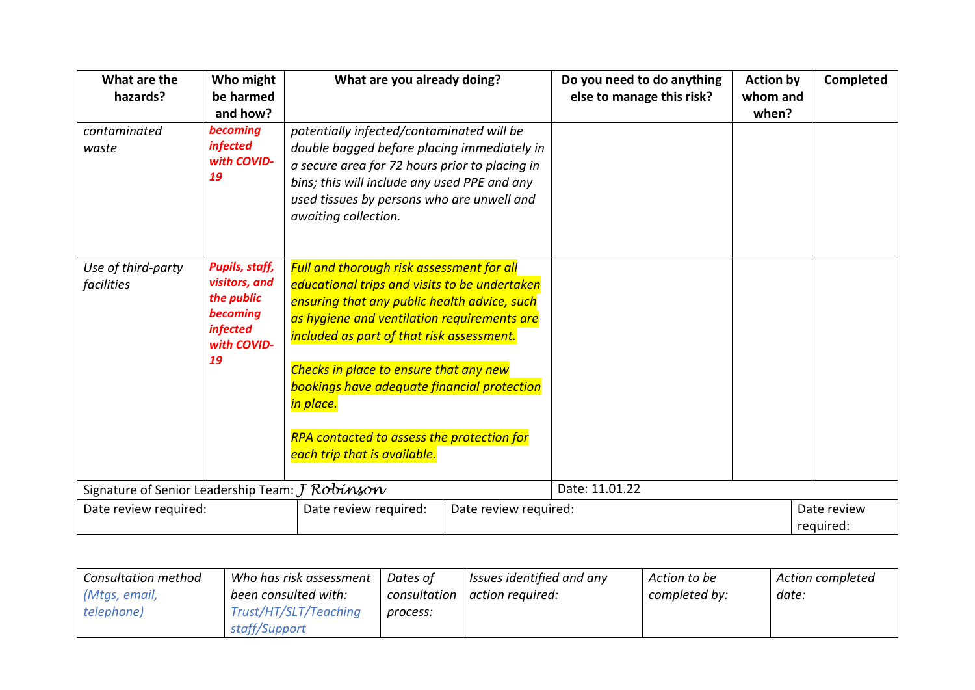| What are the<br>hazards?                            | Who might<br>be harmed<br>and how?                                                                       |                                                                                                                                                                                                                                                                                                                                                                                                                                   | What are you already doing? |                | <b>Action by</b><br>whom and<br>when? | <b>Completed</b>         |
|-----------------------------------------------------|----------------------------------------------------------------------------------------------------------|-----------------------------------------------------------------------------------------------------------------------------------------------------------------------------------------------------------------------------------------------------------------------------------------------------------------------------------------------------------------------------------------------------------------------------------|-----------------------------|----------------|---------------------------------------|--------------------------|
| contaminated<br>waste                               | becoming<br><i>infected</i><br>with COVID-<br>19                                                         | potentially infected/contaminated will be<br>double bagged before placing immediately in<br>a secure area for 72 hours prior to placing in<br>bins; this will include any used PPE and any<br>used tissues by persons who are unwell and<br>awaiting collection.                                                                                                                                                                  |                             |                |                                       |                          |
| Use of third-party<br>facilities                    | <b>Pupils, staff,</b><br>visitors, and<br>the public<br>becoming<br><i>infected</i><br>with COVID-<br>19 | Full and thorough risk assessment for all<br>educational trips and visits to be undertaken<br>ensuring that any public health advice, such<br>as hygiene and ventilation requirements are<br>included as part of that risk assessment.<br>Checks in place to ensure that any new<br><b>bookings have adequate financial protection</b><br>in place.<br>RPA contacted to assess the protection for<br>each trip that is available. |                             |                |                                       |                          |
| Signature of Senior Leadership Team: $J$ $Robínson$ |                                                                                                          |                                                                                                                                                                                                                                                                                                                                                                                                                                   |                             | Date: 11.01.22 |                                       |                          |
| Date review required:                               |                                                                                                          | Date review required:                                                                                                                                                                                                                                                                                                                                                                                                             | Date review required:       |                |                                       | Date review<br>required: |

| <b>Consultation method</b> | Who has risk assessment | Dates of     | Issues identified and any | Action to be  | <b>Action completed</b> |
|----------------------------|-------------------------|--------------|---------------------------|---------------|-------------------------|
| (Mtgs, email,              | been consulted with:    | consultation | action required:          | completed by: | date:                   |
| telephone)                 | Trust/HT/SLT/Teaching   | process:     |                           |               |                         |
|                            | staff/Support           |              |                           |               |                         |